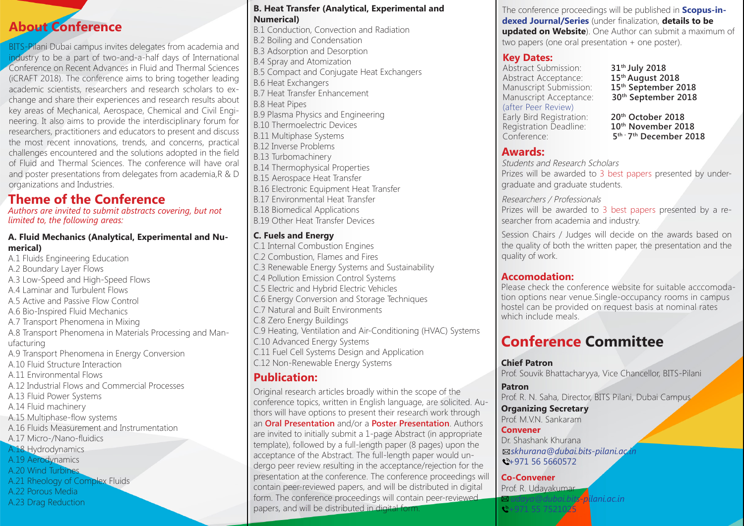## **About Conference**

BITS-Pilani Dubai campus invites delegates from academia and industry to be a part of two-and-a-half days of International Conference on Recent Advances in Fluid and Thermal Sciences (iCRAFT 2018). The conference aims to bring together leading academic scientists, researchers and research scholars to exchange and share their experiences and research results about key areas of Mechanical, Aerospace, Chemical and Civil Engineering. It also aims to provide the interdisciplinary forum for researchers, practitioners and educators to present and discuss the most recent innovations, trends, and concerns, practical challenges encountered and the solutions adopted in the field of Fluid and Thermal Sciences. The conference will have oral and poster presentations from delegates from academia,R & D organizations and Industries.

## **Theme of the Conference**

*Authors are invited to submit abstracts covering, but not limited to, the following areas:*

#### **A. Fluid Mechanics (Analytical, Experimental and Numerical)**

A.1 Fluids Engineering Education A.2 Boundary Layer Flows A.3 Low-Speed and High-Speed Flows A.4 Laminar and Turbulent Flows A.5 Active and Passive Flow Control A.6 Bio-Inspired Fluid Mechanics A.7 Transport Phenomena in Mixing A.8 Transport Phenomena in Materials Processing and Manufacturing A.9 Transport Phenomena in Energy Conversion A.10 Fluid Structure Interaction A.11 Environmental Flows A.12 Industrial Flows and Commercial Processes A.13 Fluid Power Systems A.14 Fluid machinery A.15 Multiphase-flow systems A.16 Fluids Measurement and Instrumentation A.17 Micro-/Nano-fluidics A.18 Hydrodynamics A.19 Aerodynamics A.20 Wind Turbines A.21 Rheology of Complex Fluids A.22 Porous Media A.23 Drag Reduction

#### **B. Heat Transfer (Analytical, Experimental and Numerical)**

B.1 Conduction, Convection and Radiation B.2 Boiling and Condensation B.3 Adsorption and Desorption B.4 Spray and Atomization B.5 Compact and Conjugate Heat Exchangers B.6 Heat Exchangers B.7 Heat Transfer Enhancement B.8 Heat Pipes B.9 Plasma Physics and Engineering B.10 Thermoelectric Devices B.11 Multiphase Systems B.12 Inverse Problems B.13 Turbomachinery B.14 Thermophysical Properties B.15 Aerospace Heat Transfer B.16 Electronic Equipment Heat Transfer B.17 Environmental Heat Transfer B.18 Biomedical Applications B.19 Other Heat Transfer Devices

#### **C. Fuels and Energy**

C.1 Internal Combustion Engines C.2 Combustion, Flames and Fires C.3 Renewable Energy Systems and Sustainability C.4 Pollution Emission Control Systems C.5 Electric and Hybrid Electric Vehicles C.6 Energy Conversion and Storage Techniques C.7 Natural and Built Environments C.8 Zero Energy Buildings C.9 Heating, Ventilation and Air-Conditioning (HVAC) Systems C.10 Advanced Energy Systems C.11 Fuel Cell Systems Design and Application C.12 Non-Renewable Energy Systems

## **Publication:**

Original research articles broadly within the scope of the conference topics, written in English language, are solicited. Authors will have options to present their research work through an **Oral Presentation** and/or a **Poster Presentation**. Authors are invited to initially submit a 1-page Abstract (in appropriate template), followed by a full-length paper (8 pages) upon the acceptance of the Abstract. The full-length paper would undergo peer review resulting in the acceptance/rejection for the presentation at the conference. The conference proceedings will contain peer-reviewed papers, and will be distributed in digital form. The conference proceedings will contain peer-reviewed papers, and will be distributed in digital form.

The conference proceedings will be published in **Scopus-indexed Journal/Series** (under finalization, **details to be updated on Website**). One Author can submit a maximum of two papers (one oral presentation + one poster).

## **Key Dates:**

Abstract Submission: **31<sup>th</sup> July 2018**<br>Abstract Acceptance: **15<sup>th</sup> August 2018** Abstract Acceptance: **15<sup>th</sup> August 2018**<br>Manuscript Submission: **15<sup>th</sup> September 2018** Manuscript Submission: Manuscript Acceptance: **30<sup>th</sup> September 2018** (after Peer Review) Early Bird Registration: **20<sup>th</sup> October 2018**<br>
Registration Deadline: **10<sup>th</sup> November 2018** Registration Deadline:<br>Conference:

5<sup>th - 7th</sup> December 2018

## **Awards:**

Students and Research Scholars Prizes will be awarded to 3 best papers presented by undergraduate and graduate students.

#### Researchers / Professionals

Prizes will be awarded to 3 best papers presented by a researcher from academia and industry.

Session Chairs / Judges will decide on the awards based on the quality of both the written paper, the presentation and the quality of work.

### **Accomodation:**

Please check the conference website for suitable acccomodation options near venue.Single-occupancy rooms in campus hostel can be provided on request basis at nominal rates which include meals.

## **Conference Committee**

**Chief Patron** Prof. Souvik Bhattacharyya, Vice Chancellor, BITS-Pilani

**Patron** Prof. R. N. Saha, Director, BITS Pilani, Dubai Campus

**Organizing Secretary** Prof. M.V.N. Sankaram

**Convener** Dr. Shashank Khurana  *skhurana@dubai.bits-pilani.ac.in*  $\leftarrow$  +971 56 5660572

**Co-Convener** Prof. R. Udayakumar

 $\frac{1}{2}$  +971 55 752102

*udaya@dubai.bits-pilani.ac.in*